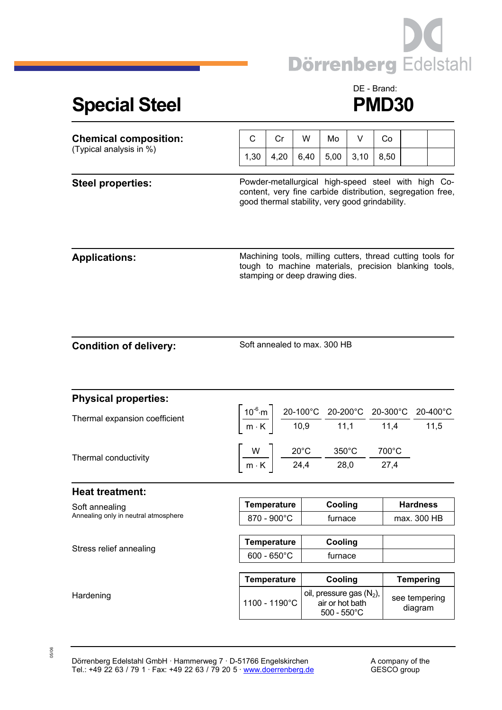

## **Special Steel PMD30**

## DE - Brand:

| <b>Chemical composition:</b>                           | C                                           | Cr                                              | W    | Mo                                                                                                                                                                                                                                          | V    | Co   |                          |                                                                                                                     |  |
|--------------------------------------------------------|---------------------------------------------|-------------------------------------------------|------|---------------------------------------------------------------------------------------------------------------------------------------------------------------------------------------------------------------------------------------------|------|------|--------------------------|---------------------------------------------------------------------------------------------------------------------|--|
| (Typical analysis in %)                                | 1,30                                        | 4,20                                            | 6,40 | 5,00                                                                                                                                                                                                                                        | 3,10 | 8,50 |                          |                                                                                                                     |  |
| <b>Steel properties:</b>                               |                                             | good thermal stability, very good grindability. |      |                                                                                                                                                                                                                                             |      |      |                          | Powder-metallurgical high-speed steel with high Co-<br>content, very fine carbide distribution, segregation free,   |  |
| <b>Applications:</b>                                   |                                             | stamping or deep drawing dies.                  |      |                                                                                                                                                                                                                                             |      |      |                          | Machining tools, milling cutters, thread cutting tools for<br>tough to machine materials, precision blanking tools, |  |
| <b>Condition of delivery:</b>                          | Soft annealed to max. 300 HB                |                                                 |      |                                                                                                                                                                                                                                             |      |      |                          |                                                                                                                     |  |
| <b>Physical properties:</b>                            |                                             |                                                 |      |                                                                                                                                                                                                                                             |      |      |                          |                                                                                                                     |  |
| Thermal expansion coefficient                          |                                             |                                                 |      | $\left[\frac{10^{-6}\text{ m}}{\text{m} \cdot \text{K}}\right] \frac{\text{20-100}^{\circ}\text{C}}{10,9} \frac{\text{20-200}^{\circ}\text{C}}{11,1} \frac{\text{20-300}^{\circ}\text{C}}{11,4} \frac{\text{20-400}^{\circ}\text{C}}{11,5}$ |      |      |                          |                                                                                                                     |  |
| Thermal conductivity                                   |                                             |                                                 |      | $\left[\frac{W}{m\cdot K}\right]$ $\frac{20^{\circ}C}{24.4}$ $\frac{350^{\circ}C}{28.0}$ $\frac{700^{\circ}C}{27.4}$                                                                                                                        |      |      |                          |                                                                                                                     |  |
| <b>Heat treatment:</b>                                 |                                             |                                                 |      |                                                                                                                                                                                                                                             |      |      |                          |                                                                                                                     |  |
| Soft annealing<br>Annealing only in neutral atmosphere | Temperature                                 |                                                 |      | Cooling                                                                                                                                                                                                                                     |      |      | <b>Hardness</b>          |                                                                                                                     |  |
|                                                        | 870 - 900°C                                 |                                                 |      | furnace                                                                                                                                                                                                                                     |      |      | max. 300 HB              |                                                                                                                     |  |
| Stress relief annealing                                | <b>Temperature</b><br>$600 - 650^{\circ}$ C |                                                 |      | Cooling<br>furnace                                                                                                                                                                                                                          |      |      |                          |                                                                                                                     |  |
|                                                        |                                             | <b>Temperature</b>                              |      | Cooling                                                                                                                                                                                                                                     |      |      | <b>Tempering</b>         |                                                                                                                     |  |
| Hardening                                              | 1100 - 1190°C                               |                                                 |      | oil, pressure gas (N <sub>2</sub> ),<br>air or hot bath<br>$500 - 550^{\circ}$ C                                                                                                                                                            |      |      | see tempering<br>diagram |                                                                                                                     |  |

05/06